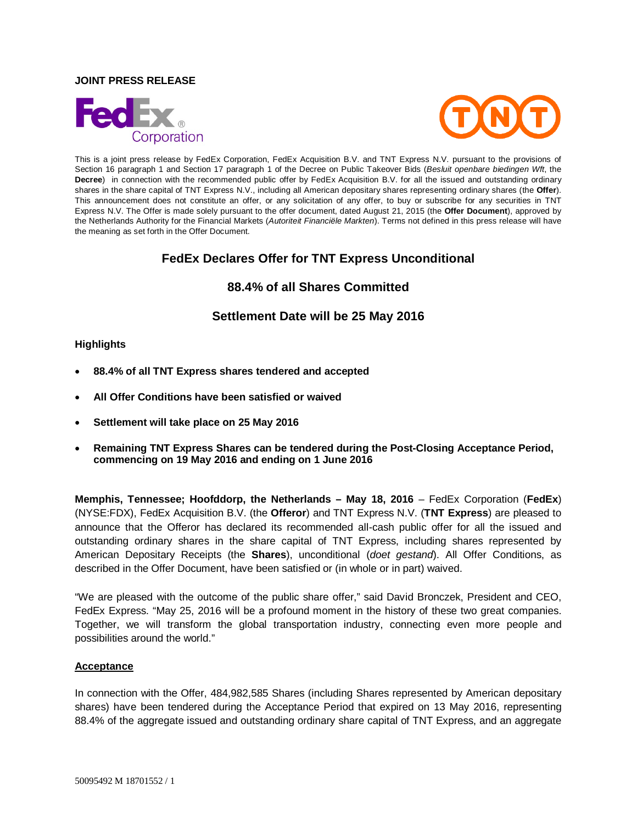## **JOINT PRESS RELEASE**





This is a joint press release by FedEx Corporation, FedEx Acquisition B.V. and TNT Express N.V. pursuant to the provisions of Section 16 paragraph 1 and Section 17 paragraph 1 of the Decree on Public Takeover Bids (*Besluit openbare biedingen Wft*, the **Decree**) in connection with the recommended public offer by FedEx Acquisition B.V. for all the issued and outstanding ordinary shares in the share capital of TNT Express N.V., including all American depositary shares representing ordinary shares (the **Offer**). This announcement does not constitute an offer, or any solicitation of any offer, to buy or subscribe for any securities in TNT Express N.V. The Offer is made solely pursuant to the offer document, dated August 21, 2015 (the **Offer Document**), approved by the Netherlands Authority for the Financial Markets (*Autoriteit Financiële Markten*). Terms not defined in this press release will have the meaning as set forth in the Offer Document.

# **FedEx Declares Offer for TNT Express Unconditional**

# **88.4% of all Shares Committed**

# **Settlement Date will be 25 May 2016**

## **Highlights**

- **88.4% of all TNT Express shares tendered and accepted**
- **All Offer Conditions have been satisfied or waived**
- **Settlement will take place on 25 May 2016**
- **Remaining TNT Express Shares can be tendered during the Post-Closing Acceptance Period, commencing on 19 May 2016 and ending on 1 June 2016**

**Memphis, Tennessee; Hoofddorp, the Netherlands – May 18, 2016** – FedEx Corporation (**FedEx**) (NYSE:FDX), FedEx Acquisition B.V. (the **Offeror**) and TNT Express N.V. (**TNT Express**) are pleased to announce that the Offeror has declared its recommended all-cash public offer for all the issued and outstanding ordinary shares in the share capital of TNT Express, including shares represented by American Depositary Receipts (the **Shares**), unconditional (*doet gestand*). All Offer Conditions, as described in the Offer Document, have been satisfied or (in whole or in part) waived.

"We are pleased with the outcome of the public share offer," said David Bronczek, President and CEO, FedEx Express. "May 25, 2016 will be a profound moment in the history of these two great companies. Together, we will transform the global transportation industry, connecting even more people and possibilities around the world."

## **Acceptance**

In connection with the Offer, 484,982,585 Shares (including Shares represented by American depositary shares) have been tendered during the Acceptance Period that expired on 13 May 2016, representing 88.4% of the aggregate issued and outstanding ordinary share capital of TNT Express, and an aggregate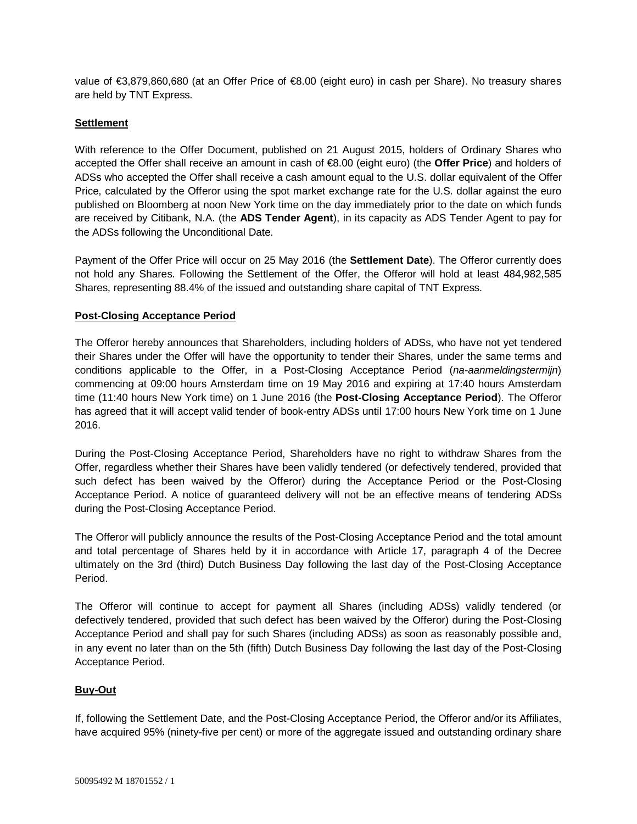value of €3,879,860,680 (at an Offer Price of €8.00 (eight euro) in cash per Share). No treasury shares are held by TNT Express.

## **Settlement**

With reference to the Offer Document, published on 21 August 2015, holders of Ordinary Shares who accepted the Offer shall receive an amount in cash of €8.00 (eight euro) (the **Offer Price**) and holders of ADSs who accepted the Offer shall receive a cash amount equal to the U.S. dollar equivalent of the Offer Price, calculated by the Offeror using the spot market exchange rate for the U.S. dollar against the euro published on Bloomberg at noon New York time on the day immediately prior to the date on which funds are received by Citibank, N.A. (the **ADS Tender Agent**), in its capacity as ADS Tender Agent to pay for the ADSs following the Unconditional Date.

Payment of the Offer Price will occur on 25 May 2016 (the **Settlement Date**). The Offeror currently does not hold any Shares. Following the Settlement of the Offer, the Offeror will hold at least 484,982,585 Shares, representing 88.4% of the issued and outstanding share capital of TNT Express.

## **Post-Closing Acceptance Period**

The Offeror hereby announces that Shareholders, including holders of ADSs, who have not yet tendered their Shares under the Offer will have the opportunity to tender their Shares, under the same terms and conditions applicable to the Offer, in a Post-Closing Acceptance Period (*na-aanmeldingstermijn*) commencing at 09:00 hours Amsterdam time on 19 May 2016 and expiring at 17:40 hours Amsterdam time (11:40 hours New York time) on 1 June 2016 (the **Post-Closing Acceptance Period**). The Offeror has agreed that it will accept valid tender of book-entry ADSs until 17:00 hours New York time on 1 June 2016.

During the Post-Closing Acceptance Period, Shareholders have no right to withdraw Shares from the Offer, regardless whether their Shares have been validly tendered (or defectively tendered, provided that such defect has been waived by the Offeror) during the Acceptance Period or the Post-Closing Acceptance Period. A notice of guaranteed delivery will not be an effective means of tendering ADSs during the Post-Closing Acceptance Period.

The Offeror will publicly announce the results of the Post-Closing Acceptance Period and the total amount and total percentage of Shares held by it in accordance with Article 17, paragraph 4 of the Decree ultimately on the 3rd (third) Dutch Business Day following the last day of the Post-Closing Acceptance Period.

The Offeror will continue to accept for payment all Shares (including ADSs) validly tendered (or defectively tendered, provided that such defect has been waived by the Offeror) during the Post-Closing Acceptance Period and shall pay for such Shares (including ADSs) as soon as reasonably possible and, in any event no later than on the 5th (fifth) Dutch Business Day following the last day of the Post-Closing Acceptance Period.

## **Buy-Out**

If, following the Settlement Date, and the Post-Closing Acceptance Period, the Offeror and/or its Affiliates, have acquired 95% (ninety-five per cent) or more of the aggregate issued and outstanding ordinary share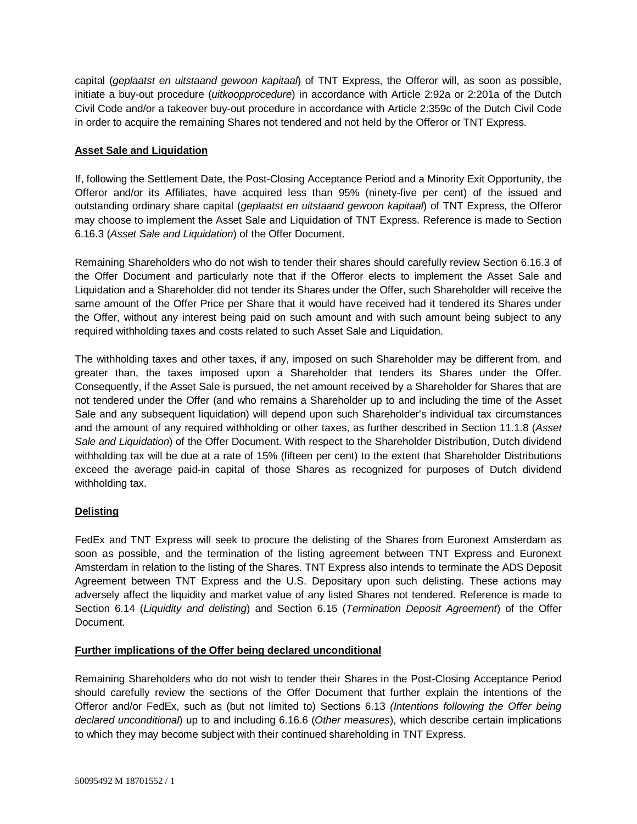capital (*geplaatst en uitstaand gewoon kapitaal*) of TNT Express, the Offeror will, as soon as possible, initiate a buy-out procedure (*uitkoopprocedure*) in accordance with Article 2:92a or 2:201a of the Dutch Civil Code and/or a takeover buy-out procedure in accordance with Article 2:359c of the Dutch Civil Code in order to acquire the remaining Shares not tendered and not held by the Offeror or TNT Express.

## **Asset Sale and Liquidation**

If, following the Settlement Date, the Post-Closing Acceptance Period and a Minority Exit Opportunity, the Offeror and/or its Affiliates, have acquired less than 95% (ninety-five per cent) of the issued and outstanding ordinary share capital (*geplaatst en uitstaand gewoon kapitaal*) of TNT Express, the Offeror may choose to implement the Asset Sale and Liquidation of TNT Express. Reference is made to Section 6.16.3 (*Asset Sale and Liquidation*) of the Offer Document.

Remaining Shareholders who do not wish to tender their shares should carefully review Section 6.16.3 of the Offer Document and particularly note that if the Offeror elects to implement the Asset Sale and Liquidation and a Shareholder did not tender its Shares under the Offer, such Shareholder will receive the same amount of the Offer Price per Share that it would have received had it tendered its Shares under the Offer, without any interest being paid on such amount and with such amount being subject to any required withholding taxes and costs related to such Asset Sale and Liquidation.

The withholding taxes and other taxes, if any, imposed on such Shareholder may be different from, and greater than, the taxes imposed upon a Shareholder that tenders its Shares under the Offer. Consequently, if the Asset Sale is pursued, the net amount received by a Shareholder for Shares that are not tendered under the Offer (and who remains a Shareholder up to and including the time of the Asset Sale and any subsequent liquidation) will depend upon such Shareholder's individual tax circumstances and the amount of any required withholding or other taxes, as further described in Section 11.1.8 (*Asset Sale and Liquidation*) of the Offer Document. With respect to the Shareholder Distribution, Dutch dividend withholding tax will be due at a rate of 15% (fifteen per cent) to the extent that Shareholder Distributions exceed the average paid-in capital of those Shares as recognized for purposes of Dutch dividend withholding tax.

## **Delisting**

FedEx and TNT Express will seek to procure the delisting of the Shares from Euronext Amsterdam as soon as possible, and the termination of the listing agreement between TNT Express and Euronext Amsterdam in relation to the listing of the Shares. TNT Express also intends to terminate the ADS Deposit Agreement between TNT Express and the U.S. Depositary upon such delisting. These actions may adversely affect the liquidity and market value of any listed Shares not tendered. Reference is made to Section 6.14 (*Liquidity and delisting*) and Section 6.15 (*Termination Deposit Agreement*) of the Offer Document.

## **Further implications of the Offer being declared unconditional**

Remaining Shareholders who do not wish to tender their Shares in the Post-Closing Acceptance Period should carefully review the sections of the Offer Document that further explain the intentions of the Offeror and/or FedEx, such as (but not limited to) Sections 6.13 *(Intentions following the Offer being declared unconditional*) up to and including 6.16.6 (*Other measures*), which describe certain implications to which they may become subject with their continued shareholding in TNT Express.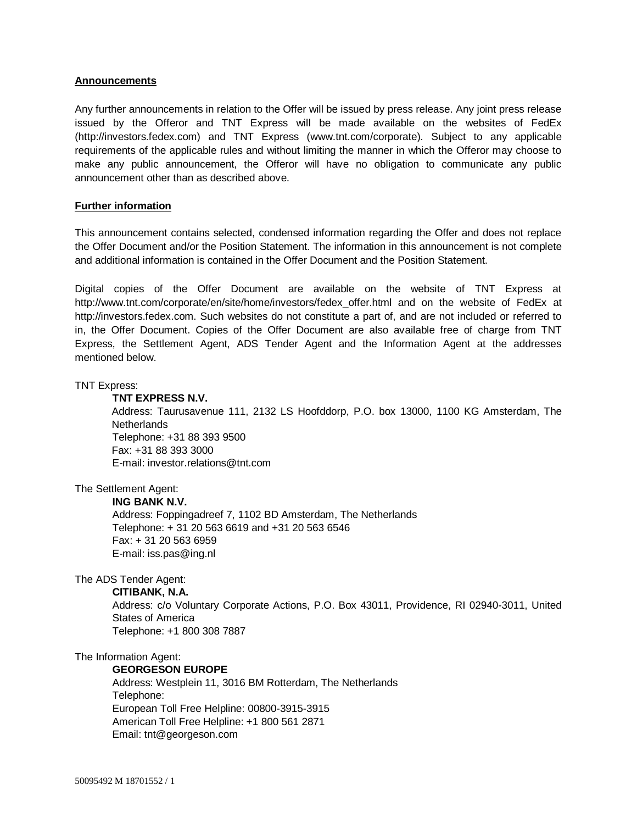## **Announcements**

Any further announcements in relation to the Offer will be issued by press release. Any joint press release issued by the Offeror and TNT Express will be made available on the websites of FedEx (http://investors.fedex.com) and TNT Express (www.tnt.com/corporate). Subject to any applicable requirements of the applicable rules and without limiting the manner in which the Offeror may choose to make any public announcement, the Offeror will have no obligation to communicate any public announcement other than as described above.

## **Further information**

This announcement contains selected, condensed information regarding the Offer and does not replace the Offer Document and/or the Position Statement. The information in this announcement is not complete and additional information is contained in the Offer Document and the Position Statement.

Digital copies of the Offer Document are available on the website of TNT Express at http://www.tnt.com/corporate/en/site/home/investors/fedex\_offer.html and on the website of FedEx at http://investors.fedex.com. Such websites do not constitute a part of, and are not included or referred to in, the Offer Document. Copies of the Offer Document are also available free of charge from TNT Express, the Settlement Agent, ADS Tender Agent and the Information Agent at the addresses mentioned below.

## TNT Express:

## **TNT EXPRESS N.V.**

Address: Taurusavenue 111, 2132 LS Hoofddorp, P.O. box 13000, 1100 KG Amsterdam, The **Netherlands** Telephone: +31 88 393 9500 Fax: +31 88 393 3000 E-mail: investor.relations@tnt.com

## The Settlement Agent:

## **ING BANK N.V.**

Address: Foppingadreef 7, 1102 BD Amsterdam, The Netherlands Telephone: + 31 20 563 6619 and +31 20 563 6546 Fax: + 31 20 563 6959 E-mail: iss.pas@ing.nl

## The ADS Tender Agent:

## **CITIBANK, N.A.**

Address: c/o Voluntary Corporate Actions, P.O. Box 43011, Providence, RI 02940-3011, United States of America Telephone: +1 800 308 7887

## The Information Agent:

# **GEORGESON EUROPE**

Address: Westplein 11, 3016 BM Rotterdam, The Netherlands Telephone: European Toll Free Helpline: 00800-3915-3915 American Toll Free Helpline: +1 800 561 2871 Email: tnt@georgeson.com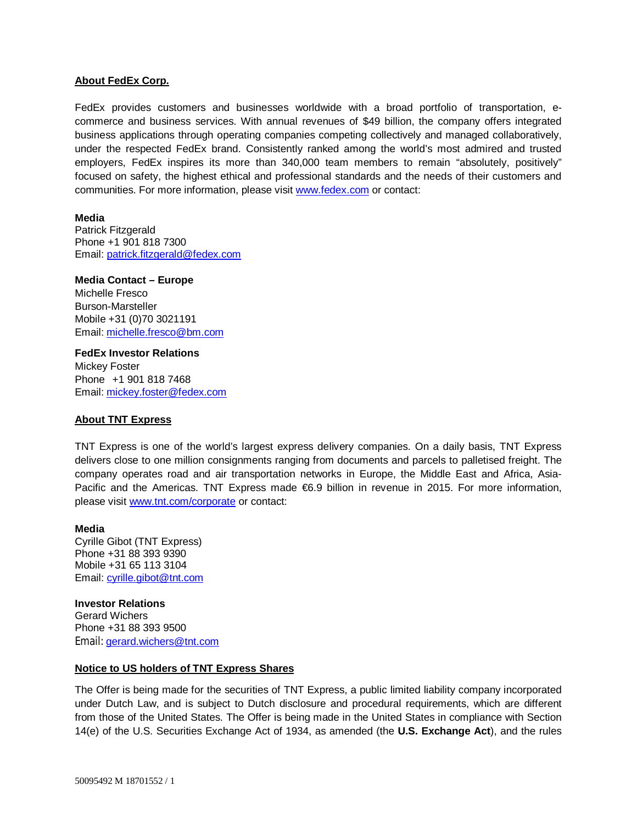## **About FedEx Corp.**

FedEx provides customers and businesses worldwide with a broad portfolio of transportation, ecommerce and business services. With annual revenues of \$49 billion, the company offers integrated business applications through operating companies competing collectively and managed collaboratively, under the respected FedEx brand. Consistently ranked among the world's most admired and trusted employers, FedEx inspires its more than 340,000 team members to remain "absolutely, positively" focused on safety, the highest ethical and professional standards and the needs of their customers and communities. For more information, please visit www.fedex.com or contact:

## **Media**

Patrick Fitzgerald Phone +1 901 818 7300 Email: patrick.fitzgerald@fedex.com

#### **Media Contact – Europe** Michelle Fresco

Burson-Marsteller Mobile +31 (0)70 3021191 Email: michelle.fresco@bm.com

**FedEx Investor Relations**  Mickey Foster Phone +1 901 818 7468 Email: mickey.foster@fedex.com

## **About TNT Express**

TNT Express is one of the world's largest express delivery companies. On a daily basis, TNT Express delivers close to one million consignments ranging from documents and parcels to palletised freight. The company operates road and air transportation networks in Europe, the Middle East and Africa, Asia-Pacific and the Americas. TNT Express made €6.9 billion in revenue in 2015. For more information, please visit www.tnt.com/corporate or contact:

## **Media**

Cyrille Gibot (TNT Express) Phone +31 88 393 9390 Mobile +31 65 113 3104 Email: cyrille.gibot@tnt.com

**Investor Relations** Gerard Wichers Phone +31 88 393 9500 Email: gerard.wichers@tnt.com

## **Notice to US holders of TNT Express Shares**

The Offer is being made for the securities of TNT Express, a public limited liability company incorporated under Dutch Law, and is subject to Dutch disclosure and procedural requirements, which are different from those of the United States. The Offer is being made in the United States in compliance with Section 14(e) of the U.S. Securities Exchange Act of 1934, as amended (the **U.S. Exchange Act**), and the rules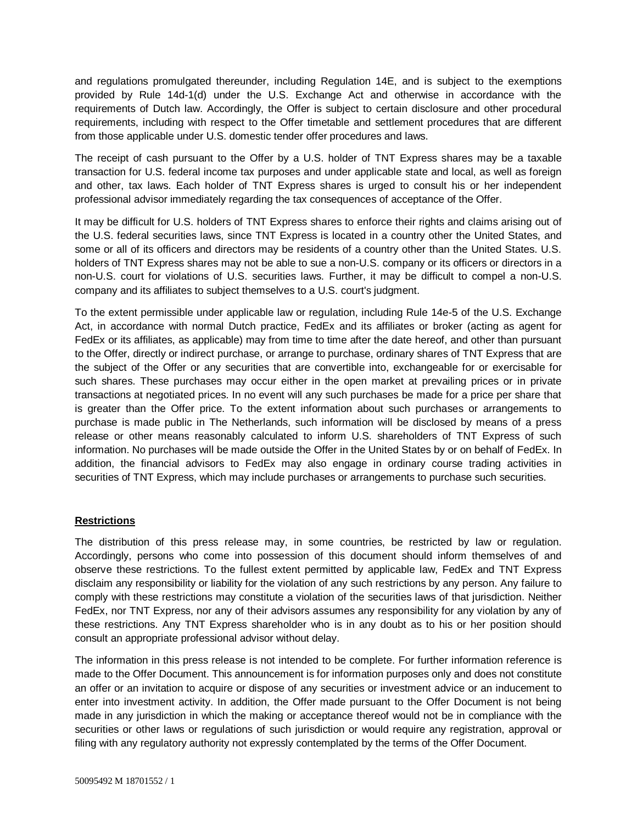and regulations promulgated thereunder, including Regulation 14E, and is subject to the exemptions provided by Rule 14d-1(d) under the U.S. Exchange Act and otherwise in accordance with the requirements of Dutch law. Accordingly, the Offer is subject to certain disclosure and other procedural requirements, including with respect to the Offer timetable and settlement procedures that are different from those applicable under U.S. domestic tender offer procedures and laws.

The receipt of cash pursuant to the Offer by a U.S. holder of TNT Express shares may be a taxable transaction for U.S. federal income tax purposes and under applicable state and local, as well as foreign and other, tax laws. Each holder of TNT Express shares is urged to consult his or her independent professional advisor immediately regarding the tax consequences of acceptance of the Offer.

It may be difficult for U.S. holders of TNT Express shares to enforce their rights and claims arising out of the U.S. federal securities laws, since TNT Express is located in a country other the United States, and some or all of its officers and directors may be residents of a country other than the United States. U.S. holders of TNT Express shares may not be able to sue a non-U.S. company or its officers or directors in a non-U.S. court for violations of U.S. securities laws. Further, it may be difficult to compel a non-U.S. company and its affiliates to subject themselves to a U.S. court's judgment.

To the extent permissible under applicable law or regulation, including Rule 14e-5 of the U.S. Exchange Act, in accordance with normal Dutch practice, FedEx and its affiliates or broker (acting as agent for FedEx or its affiliates, as applicable) may from time to time after the date hereof, and other than pursuant to the Offer, directly or indirect purchase, or arrange to purchase, ordinary shares of TNT Express that are the subject of the Offer or any securities that are convertible into, exchangeable for or exercisable for such shares. These purchases may occur either in the open market at prevailing prices or in private transactions at negotiated prices. In no event will any such purchases be made for a price per share that is greater than the Offer price. To the extent information about such purchases or arrangements to purchase is made public in The Netherlands, such information will be disclosed by means of a press release or other means reasonably calculated to inform U.S. shareholders of TNT Express of such information. No purchases will be made outside the Offer in the United States by or on behalf of FedEx. In addition, the financial advisors to FedEx may also engage in ordinary course trading activities in securities of TNT Express, which may include purchases or arrangements to purchase such securities.

## **Restrictions**

The distribution of this press release may, in some countries, be restricted by law or regulation. Accordingly, persons who come into possession of this document should inform themselves of and observe these restrictions. To the fullest extent permitted by applicable law, FedEx and TNT Express disclaim any responsibility or liability for the violation of any such restrictions by any person. Any failure to comply with these restrictions may constitute a violation of the securities laws of that jurisdiction. Neither FedEx, nor TNT Express, nor any of their advisors assumes any responsibility for any violation by any of these restrictions. Any TNT Express shareholder who is in any doubt as to his or her position should consult an appropriate professional advisor without delay.

The information in this press release is not intended to be complete. For further information reference is made to the Offer Document. This announcement is for information purposes only and does not constitute an offer or an invitation to acquire or dispose of any securities or investment advice or an inducement to enter into investment activity. In addition, the Offer made pursuant to the Offer Document is not being made in any jurisdiction in which the making or acceptance thereof would not be in compliance with the securities or other laws or regulations of such jurisdiction or would require any registration, approval or filing with any regulatory authority not expressly contemplated by the terms of the Offer Document.